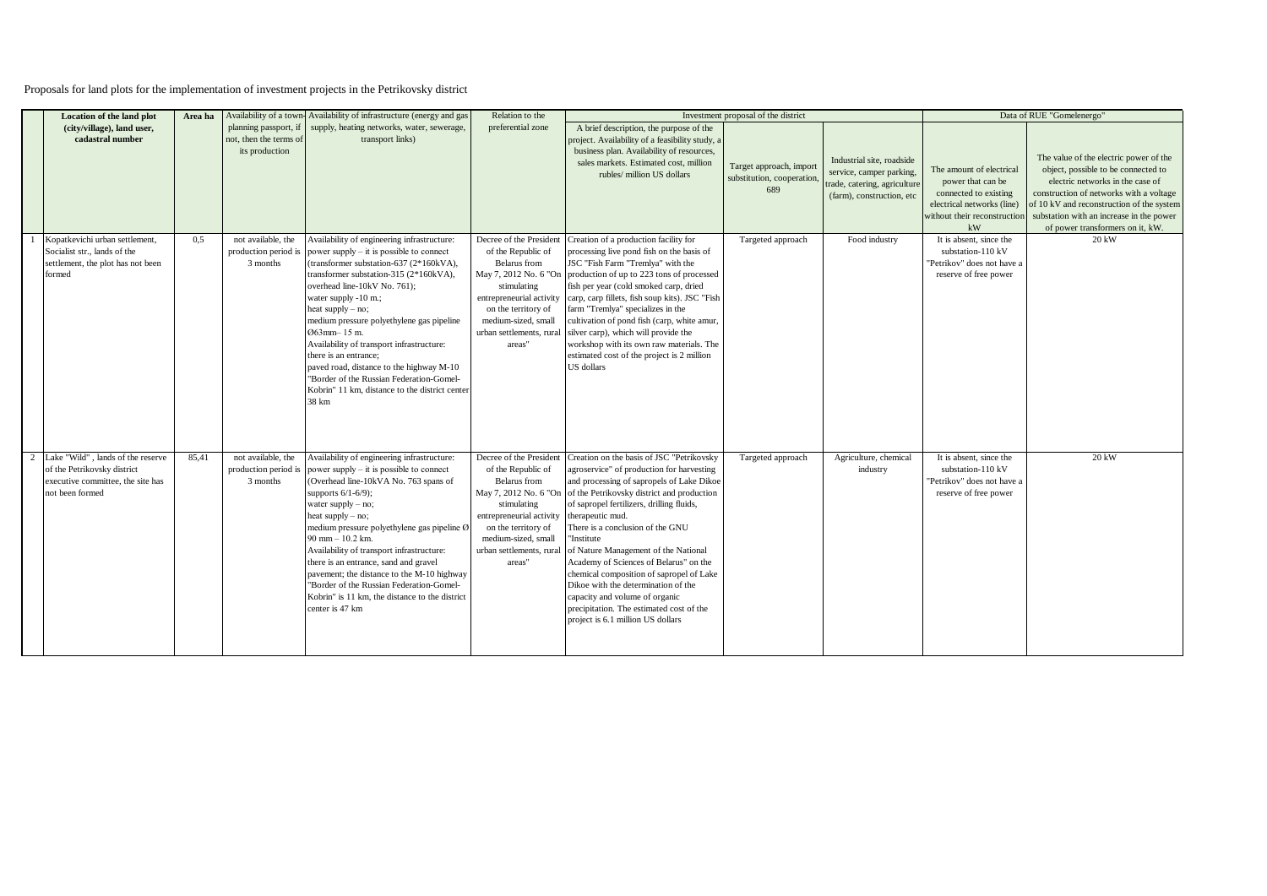Proposals for land plots for the implementation of investment projects in the Petrikovsky district

| <b>Location of the land plot</b>                                                                                         | Area ha | Availability of a town                                            | Availability of infrastructure (energy and gas                                                                                                                                                                                                                                                                                                                                                                                                                                                                                                 | Relation to the                                                                                                                                                                                                       |                                                                                                                                                                                                                                                                                                                                                                                                                                                                                                                                                                                                                      | Investment proposal of the district                         |                                                                                                                    |                                                                                                                                                                | Data of RUE "Gomelenergo"                                                                                                                                                                                                                                                                 |
|--------------------------------------------------------------------------------------------------------------------------|---------|-------------------------------------------------------------------|------------------------------------------------------------------------------------------------------------------------------------------------------------------------------------------------------------------------------------------------------------------------------------------------------------------------------------------------------------------------------------------------------------------------------------------------------------------------------------------------------------------------------------------------|-----------------------------------------------------------------------------------------------------------------------------------------------------------------------------------------------------------------------|----------------------------------------------------------------------------------------------------------------------------------------------------------------------------------------------------------------------------------------------------------------------------------------------------------------------------------------------------------------------------------------------------------------------------------------------------------------------------------------------------------------------------------------------------------------------------------------------------------------------|-------------------------------------------------------------|--------------------------------------------------------------------------------------------------------------------|----------------------------------------------------------------------------------------------------------------------------------------------------------------|-------------------------------------------------------------------------------------------------------------------------------------------------------------------------------------------------------------------------------------------------------------------------------------------|
| (city/village), land user,<br>cadastral number                                                                           |         | planning passport, if<br>not, then the terms of<br>its production | supply, heating networks, water, sewerage,<br>transport links)                                                                                                                                                                                                                                                                                                                                                                                                                                                                                 | preferential zone                                                                                                                                                                                                     | A brief description, the purpose of the<br>project. Availability of a feasibility study, a<br>business plan. Availability of resources,<br>sales markets. Estimated cost. million<br>rubles/ million US dollars                                                                                                                                                                                                                                                                                                                                                                                                      | Target approach, import<br>substitution, cooperation<br>689 | Industrial site, roadside<br>service, camper parking,<br>trade, catering, agriculture<br>(farm), construction, etc | The amount of electrical<br>power that can be<br>connected to existing<br>electrical networks (line)<br>without their reconstruction<br>$\mathbf{k}\mathbf{W}$ | The value of the electric power of the<br>object, possible to be connected to<br>electric networks in the case of<br>construction of networks with a voltage<br>of 10 kV and reconstruction of the system<br>substation with an increase in the power<br>of power transformers on it, kW. |
| Kopatkevichi urban settlement,<br>Socialist str., lands of the<br>settlement, the plot has not been<br>formed            | 0.5     | not available, the<br>production period is<br>3 months            | Availability of engineering infrastructure:<br>power supply – it is possible to connect<br>(transformer substation-637 (2*160kVA),<br>transformer substation-315 (2*160kVA).<br>overhead line-10kV No. 761);<br>water supply -10 m.;<br>heat supply - no;<br>medium pressure polyethylene gas pipeline<br>Ø63mm-15 m.<br>Availability of transport infrastructure:<br>there is an entrance:<br>paved road, distance to the highway M-10<br>"Border of the Russian Federation-Gomel-<br>Kobrin" 11 km, distance to the district center<br>38 km | Decree of the President<br>of the Republic of<br>Belarus from<br>May 7, 2012 No. 6 "On<br>stimulating<br>entrepreneurial activity<br>on the territory of<br>medium-sized, small<br>urban settlements, rural<br>areas" | Creation of a production facility for<br>processing live pond fish on the basis of<br>JSC "Fish Farm "Tremlya" with the<br>production of up to 223 tons of processed<br>fish per year (cold smoked carp, dried<br>carp, carp fillets, fish soup kits). JSC "Fish<br>farm "Tremlya" specializes in the<br>cultivation of pond fish (carp, white amur,<br>silver carp), which will provide the<br>workshop with its own raw materials. The<br>estimated cost of the project is 2 million<br>US dollars                                                                                                                 | Targeted approach                                           | Food industry                                                                                                      | It is absent, since the<br>substation-110 kV<br>"Petrikov" does not have a<br>reserve of free power                                                            | 20 kW                                                                                                                                                                                                                                                                                     |
| Lake "Wild", lands of the reserve<br>of the Petrikovsky district<br>executive committee, the site has<br>not been formed | 85.41   | not available, the<br>production period is<br>3 months            | Availability of engineering infrastructure:<br>power supply – it is possible to connect<br>(Overhead line-10kVA No. 763 spans of<br>supports $6/1-6/9$ ;<br>water supply $-$ no;<br>heat supply - no;<br>medium pressure polyethylene gas pipeline Ø<br>90 mm - 10.2 km.<br>Availability of transport infrastructure:<br>there is an entrance, sand and gravel<br>pavement; the distance to the M-10 highway<br>"Border of the Russian Federation-Gomel-<br>Kobrin" is 11 km, the distance to the district<br>center is 47 km                  | of the Republic of<br>Belarus from<br>May 7, 2012 No. 6 "On<br>stimulating<br>entrepreneurial activity<br>on the territory of<br>medium-sized, small<br>urban settlements, rural<br>areas"                            | Decree of the President Creation on the basis of JSC "Petrikovsky<br>agroservice" of production for harvesting<br>and processing of sapropels of Lake Dikoe<br>of the Petrikovsky district and production<br>of sapropel fertilizers, drilling fluids,<br>therapeutic mud.<br>There is a conclusion of the GNU<br>'Institute<br>of Nature Management of the National<br>Academy of Sciences of Belarus" on the<br>chemical composition of sapropel of Lake<br>Dikoe with the determination of the<br>capacity and volume of organic<br>precipitation. The estimated cost of the<br>project is 6.1 million US dollars | Targeted approach                                           | Agriculture, chemical<br>industry                                                                                  | It is absent, since the<br>substation-110 kV<br>"Petrikov" does not have a<br>reserve of free power                                                            | 20 kW                                                                                                                                                                                                                                                                                     |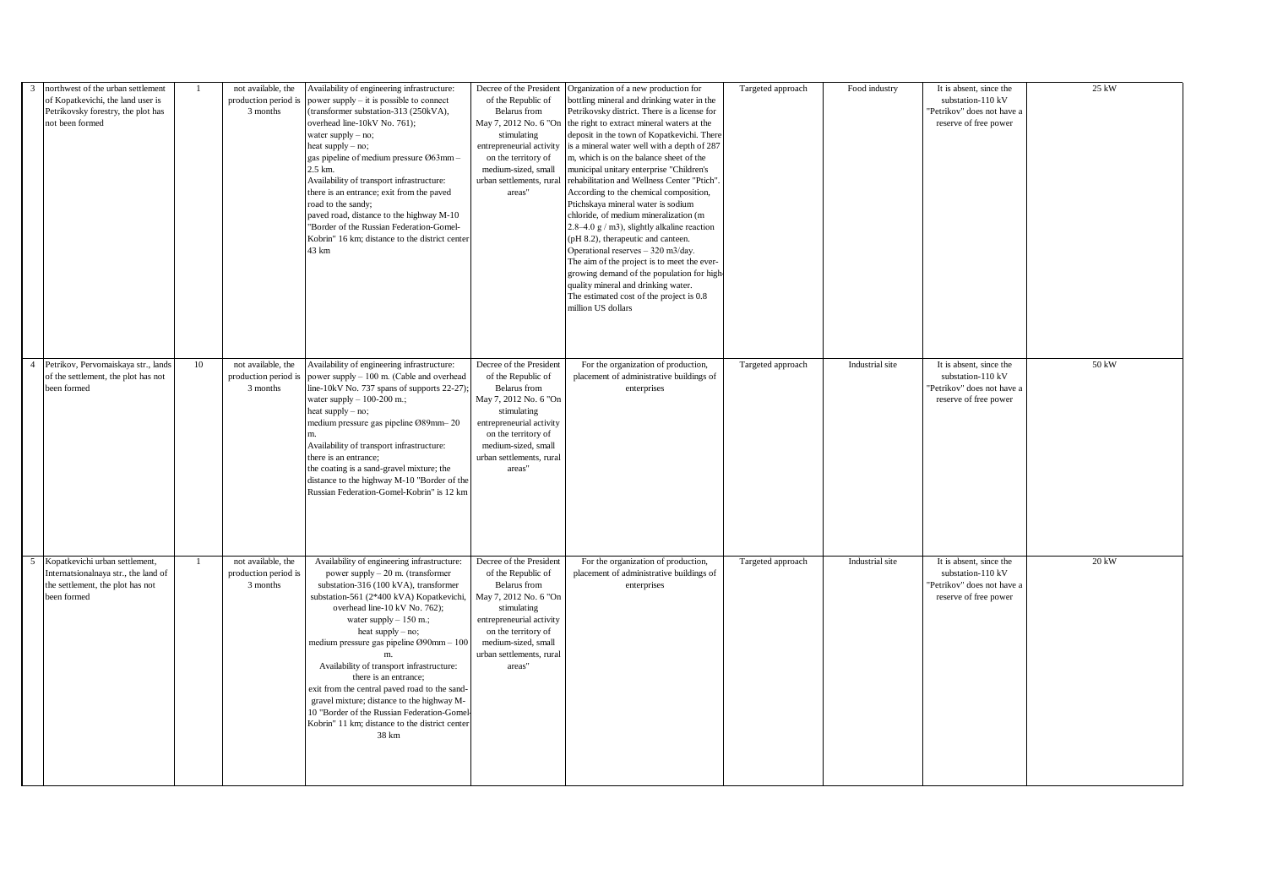| northwest of the urban settlement<br>$\overline{3}$<br>of Kopatkevichi, the land user is<br>Petrikovsky forestry, the plot has<br>not been formed |    | not available, the<br>production period is<br>3 months | Availability of engineering infrastructure:<br>power supply – it is possible to connect<br>(transformer substation-313 (250kVA),<br>overhead line-10kV No. 761);<br>water supply - no;<br>heat supply - no;<br>gas pipeline of medium pressure Ø63mm -<br>2.5 km.<br>Availability of transport infrastructure:<br>there is an entrance; exit from the paved<br>road to the sandy;<br>paved road, distance to the highway M-10<br>"Border of the Russian Federation-Gomel-<br>Kobrin" 16 km; distance to the district center<br>43 km                                              | Decree of the President<br>of the Republic of<br>Belarus from<br>May 7, 2012 No. 6 "On<br>stimulating<br>entrepreneurial activity<br>on the territory of<br>medium-sized, small<br>urban settlements, rural<br>areas" | Organization of a new production for<br>bottling mineral and drinking water in the<br>Petrikovsky district. There is a license for<br>the right to extract mineral waters at the<br>deposit in the town of Kopatkevichi. There<br>s a mineral water well with a depth of 287<br>m, which is on the balance sheet of the<br>nunicipal unitary enterprise "Children's<br>rehabilitation and Wellness Center "Ptich"<br>According to the chemical composition,<br>Ptichskaya mineral water is sodium<br>chloride, of medium mineralization (m<br>$2.8-4.0$ g / m3), slightly alkaline reaction<br>(pH 8.2), therapeutic and canteen.<br>Operational reserves - 320 m3/day.<br>The aim of the project is to meet the ever-<br>growing demand of the population for high<br>quality mineral and drinking water.<br>The estimated cost of the project is 0.8<br>million US dollars | Targeted approach | Food industry   | It is absent, since the<br>substation-110 kV<br>'Petrikov" does not have a<br>reserve of free power | 25 kW |
|---------------------------------------------------------------------------------------------------------------------------------------------------|----|--------------------------------------------------------|-----------------------------------------------------------------------------------------------------------------------------------------------------------------------------------------------------------------------------------------------------------------------------------------------------------------------------------------------------------------------------------------------------------------------------------------------------------------------------------------------------------------------------------------------------------------------------------|-----------------------------------------------------------------------------------------------------------------------------------------------------------------------------------------------------------------------|------------------------------------------------------------------------------------------------------------------------------------------------------------------------------------------------------------------------------------------------------------------------------------------------------------------------------------------------------------------------------------------------------------------------------------------------------------------------------------------------------------------------------------------------------------------------------------------------------------------------------------------------------------------------------------------------------------------------------------------------------------------------------------------------------------------------------------------------------------------------------|-------------------|-----------------|-----------------------------------------------------------------------------------------------------|-------|
| Petrikov, Pervomaiskaya str., lands<br>of the settlement, the plot has not<br>been formed                                                         | 10 | not available, the<br>production period is<br>3 months | Availability of engineering infrastructure:<br>power supply - 100 m. (Cable and overhead<br>line-10kV No. 737 spans of supports 22-27);<br>water supply $-100-200$ m.;<br>heat supply $-$ no;<br>medium pressure gas pipeline Ø89mm-20<br>Availability of transport infrastructure:<br>there is an entrance;<br>the coating is a sand-gravel mixture; the<br>distance to the highway M-10 "Border of the<br>Russian Federation-Gomel-Kobrin" is 12 km                                                                                                                             | Decree of the President<br>of the Republic of<br>Belarus from<br>May 7, 2012 No. 6 "On<br>stimulating<br>entrepreneurial activity<br>on the territory of<br>medium-sized, small<br>urban settlements, rural<br>areas" | For the organization of production,<br>placement of administrative buildings of<br>enterprises                                                                                                                                                                                                                                                                                                                                                                                                                                                                                                                                                                                                                                                                                                                                                                               | Targeted approach | Industrial site | It is absent, since the<br>substation-110 kV<br>'Petrikov" does not have a<br>reserve of free power | 50 kW |
| Kopatkevichi urban settlement,<br>5<br>Internatsionalnaya str., the land of<br>the settlement, the plot has not<br>been formed                    |    | not available, the<br>production period is<br>3 months | Availability of engineering infrastructure:<br>power supply $-20$ m. (transformer<br>substation-316 (100 kVA), transformer<br>substation-561 (2*400 kVA) Kopatkevichi,<br>overhead line-10 kV No. 762);<br>water supply $-150$ m.;<br>heat supply - no;<br>medium pressure gas pipeline Ø90mm - 100<br>Availability of transport infrastructure:<br>there is an entrance:<br>exit from the central paved road to the sand-<br>gravel mixture; distance to the highway M-<br>10 "Border of the Russian Federation-Gomel<br>Kobrin" 11 km; distance to the district center<br>38 km | Decree of the President<br>of the Republic of<br>Belarus from<br>May 7, 2012 No. 6 "On<br>stimulating<br>entrepreneurial activity<br>on the territory of<br>medium-sized, small<br>urban settlements, rural<br>areas" | For the organization of production,<br>placement of administrative buildings of<br>enterprises                                                                                                                                                                                                                                                                                                                                                                                                                                                                                                                                                                                                                                                                                                                                                                               | Targeted approach | Industrial site | It is absent, since the<br>substation-110 kV<br>'Petrikov" does not have a<br>reserve of free power | 20 kW |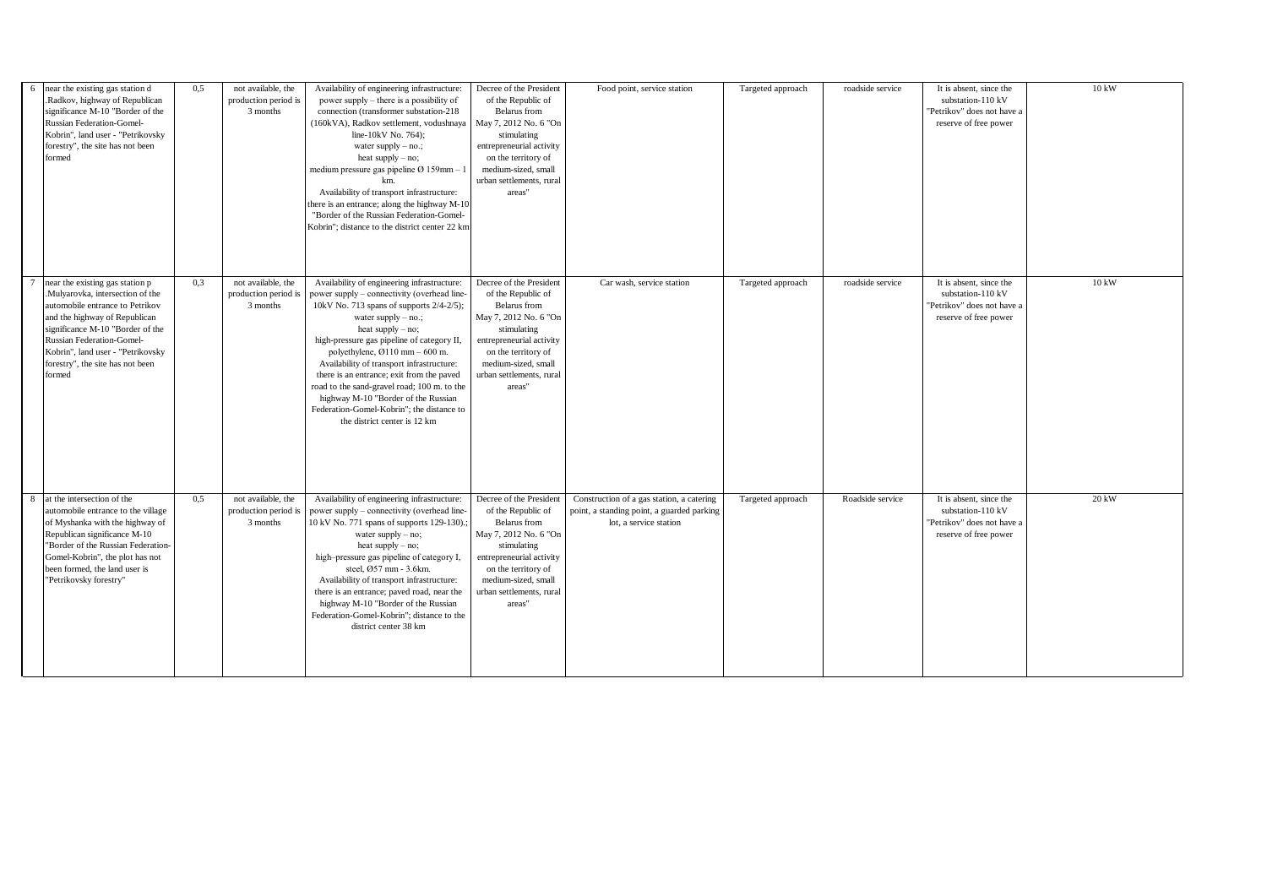| near the existing gas station d<br>6<br>Radkov, highway of Republican<br>significance M-10 "Border of the<br><b>Russian Federation-Gomel-</b><br>Kobrin", land user - "Petrikovsky<br>forestry", the site has not been<br>formed                                                                  | 0.5 | not available, the<br>production period is<br>3 months | Availability of engineering infrastructure:<br>power supply – there is a possibility of<br>connection (transformer substation-218<br>(160kVA), Radkov settlement, vodushnaya<br>line-10kV No. 764):<br>water supply $-$ no.;<br>heat supply - no;<br>medium pressure gas pipeline $\varnothing$ 159mm - 1<br>km.<br>Availability of transport infrastructure:<br>there is an entrance; along the highway M-10<br>"Border of the Russian Federation-Gomel-<br>Kobrin": distance to the district center 22 km                                    | Decree of the President<br>of the Republic of<br>Belarus from<br>May 7, 2012 No. 6 "On<br>stimulating<br>entrepreneurial activity<br>on the territory of<br>medium-sized, small<br>urban settlements, rural<br>areas" | Food point, service station                                                                                       | Targeted approach | roadside service | It is absent, since the<br>substation-110 kV<br>'Petrikov" does not have a<br>reserve of free power | $10\:\mathrm{kW}$ |
|---------------------------------------------------------------------------------------------------------------------------------------------------------------------------------------------------------------------------------------------------------------------------------------------------|-----|--------------------------------------------------------|------------------------------------------------------------------------------------------------------------------------------------------------------------------------------------------------------------------------------------------------------------------------------------------------------------------------------------------------------------------------------------------------------------------------------------------------------------------------------------------------------------------------------------------------|-----------------------------------------------------------------------------------------------------------------------------------------------------------------------------------------------------------------------|-------------------------------------------------------------------------------------------------------------------|-------------------|------------------|-----------------------------------------------------------------------------------------------------|-------------------|
| near the existing gas station p<br>Mulyarovka, intersection of the<br>automobile entrance to Petrikov<br>and the highway of Republican<br>significance M-10 "Border of the<br><b>Russian Federation-Gomel-</b><br>Kobrin", land user - "Petrikovsky<br>forestry", the site has not been<br>formed | 0.3 | not available, the<br>production period is<br>3 months | Availability of engineering infrastructure:<br>power supply – connectivity (overhead line-<br>10kV No. 713 spans of supports 2/4-2/5);<br>water supply $-$ no.;<br>heat supply - no;<br>high-pressure gas pipeline of category II,<br>polyethylene, $\varnothing$ 110 mm – 600 m.<br>Availability of transport infrastructure:<br>there is an entrance; exit from the paved<br>road to the sand-gravel road; 100 m. to the<br>highway M-10 "Border of the Russian<br>Federation-Gomel-Kobrin"; the distance to<br>the district center is 12 km | Decree of the President<br>of the Republic of<br>Belarus from<br>May 7, 2012 No. 6 "On<br>stimulating<br>entrepreneurial activity<br>on the territory of<br>medium-sized, small<br>urban settlements, rural<br>areas" | Car wash, service station                                                                                         | Targeted approach | roadside service | It is absent, since the<br>substation-110 kV<br>'Petrikov" does not have a<br>reserve of free power | $10\,\mathrm{kW}$ |
| at the intersection of the<br>8<br>automobile entrance to the village<br>of Myshanka with the highway of<br>Republican significance M-10<br>"Border of the Russian Federation-<br>Gomel-Kobrin", the plot has not<br>been formed, the land user is<br>"Petrikovsky forestry"                      | 0.5 | not available, the<br>production period is<br>3 months | Availability of engineering infrastructure:<br>power supply – connectivity (overhead line-<br>10 kV No. 771 spans of supports 129-130).;<br>water supply $-$ no;<br>heat supply $-$ no;<br>high-pressure gas pipeline of category I,<br>steel, Ø57 mm - 3.6km.<br>Availability of transport infrastructure:<br>there is an entrance; paved road, near the<br>highway M-10 "Border of the Russian<br>Federation-Gomel-Kobrin"; distance to the<br>district center 38 km                                                                         | Decree of the President<br>of the Republic of<br>Belarus from<br>May 7, 2012 No. 6 "On<br>stimulating<br>entrepreneurial activity<br>on the territory of<br>medium-sized, small<br>urban settlements, rural<br>areas" | Construction of a gas station, a catering<br>point, a standing point, a guarded parking<br>lot, a service station | Targeted approach | Roadside service | It is absent, since the<br>substation-110 kV<br>"Petrikov" does not have a<br>reserve of free power | 20 kW             |